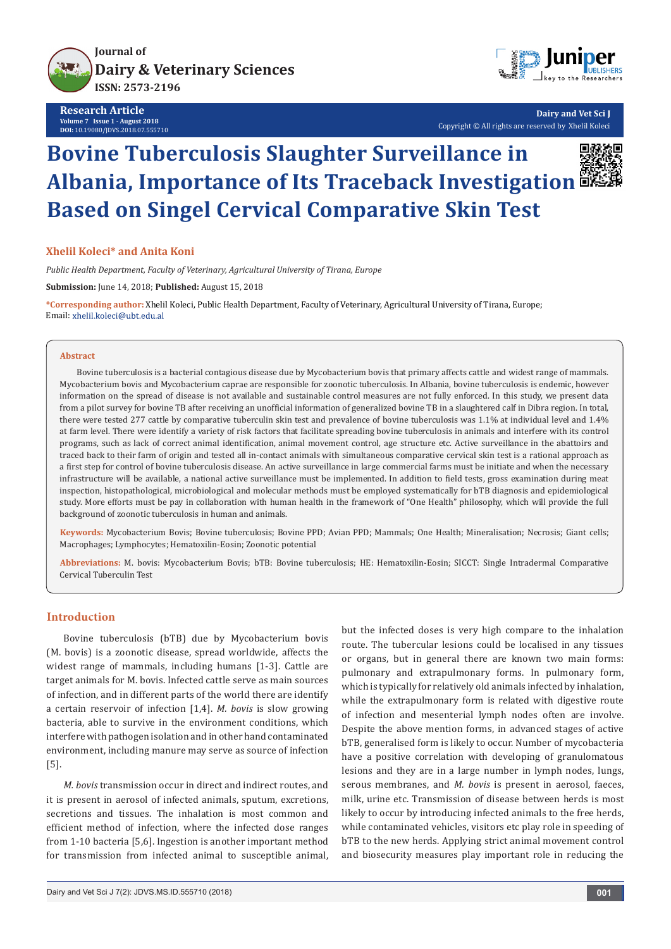**Journal of [Dairy & Veterinary Sciences](https://juniperpublishers.com/jdvs/) ISSN: 2573-2196**

**Research Article Volume 7 Issue 1 - August 2018 DOI:** [10.19080/JDVS.2018.07.555710](http://dx.doi.org/10.19080/JDVS.2018.07.555710)



**Dairy and Vet Sci J** Copyright © All rights are reserved by Xhelil Koleci

# **Bovine Tuberculosis Slaughter Surveillance in Albania, Importance of Its Traceback Investigation Based on Singel Cervical Comparative Skin Test**



## **Xhelil Koleci\* and Anita Koni**

*Public Health Department, Faculty of Veterinary, Agricultural University of Tirana, Europe*

**Submission:** June 14, 2018; **Published:** August 15, 2018

**\*Corresponding author:** Xhelil Koleci, Public Health Department, Faculty of Veterinary, Agricultural University of Tirana, Europe; Email: xhelil.koleci@ubt.edu.al

#### **Abstract**

Bovine tuberculosis is a bacterial contagious disease due by Mycobacterium bovis that primary affects cattle and widest range of mammals. Mycobacterium bovis and Mycobacterium caprae are responsible for zoonotic tuberculosis. In Albania, bovine tuberculosis is endemic, however information on the spread of disease is not available and sustainable control measures are not fully enforced. In this study, we present data from a pilot survey for bovine TB after receiving an unofficial information of generalized bovine TB in a slaughtered calf in Dibra region. In total, there were tested 277 cattle by comparative tuberculin skin test and prevalence of bovine tuberculosis was 1.1% at individual level and 1.4% at farm level. There were identify a variety of risk factors that facilitate spreading bovine tuberculosis in animals and interfere with its control programs, such as lack of correct animal identification, animal movement control, age structure etc. Active surveillance in the abattoirs and traced back to their farm of origin and tested all in-contact animals with simultaneous comparative cervical skin test is a rational approach as a first step for control of bovine tuberculosis disease. An active surveillance in large commercial farms must be initiate and when the necessary infrastructure will be available, a national active surveillance must be implemented. In addition to field tests, gross examination during meat inspection, histopathological, microbiological and molecular methods must be employed systematically for bTB diagnosis and epidemiological study. More efforts must be pay in collaboration with human health in the framework of "One Health" philosophy, which will provide the full background of zoonotic tuberculosis in human and animals.

**Keywords:** Mycobacterium Bovis; Bovine tuberculosis; Bovine PPD; Avian PPD; Mammals; One Health; Mineralisation; Necrosis; Giant cells; Macrophages; Lymphocytes; Hematoxilin-Eosin; Zoonotic potential

**Abbreviations:** M. bovis: Mycobacterium Bovis; bTB: Bovine tuberculosis; HE: Hematoxilin-Eosin; SICCT: Single Intradermal Comparative Cervical Tuberculin Test

## **Introduction**

Bovine tuberculosis (bTB) due by Mycobacterium bovis (M. bovis) is a zoonotic disease, spread worldwide, affects the widest range of mammals, including humans [1-3]. Cattle are target animals for M. bovis. Infected cattle serve as main sources of infection, and in different parts of the world there are identify a certain reservoir of infection [1,4]. *M. bovis* is slow growing bacteria, able to survive in the environment conditions, which interfere with pathogen isolation and in other hand contaminated environment, including manure may serve as source of infection [5].

*M. bovis* transmission occur in direct and indirect routes, and it is present in aerosol of infected animals, sputum, excretions, secretions and tissues. The inhalation is most common and efficient method of infection, where the infected dose ranges from 1-10 bacteria [5,6]. Ingestion is another important method for transmission from infected animal to susceptible animal,

but the infected doses is very high compare to the inhalation route. The tubercular lesions could be localised in any tissues or organs, but in general there are known two main forms: pulmonary and extrapulmonary forms. In pulmonary form, which is typically for relatively old animals infected by inhalation, while the extrapulmonary form is related with digestive route of infection and mesenterial lymph nodes often are involve. Despite the above mention forms, in advanced stages of active bTB, generalised form is likely to occur. Number of mycobacteria have a positive correlation with developing of granulomatous lesions and they are in a large number in lymph nodes, lungs, serous membranes, and *M. bovis* is present in aerosol, faeces, milk, urine etc. Transmission of disease between herds is most likely to occur by introducing infected animals to the free herds, while contaminated vehicles, visitors etc play role in speeding of bTB to the new herds. Applying strict animal movement control and biosecurity measures play important role in reducing the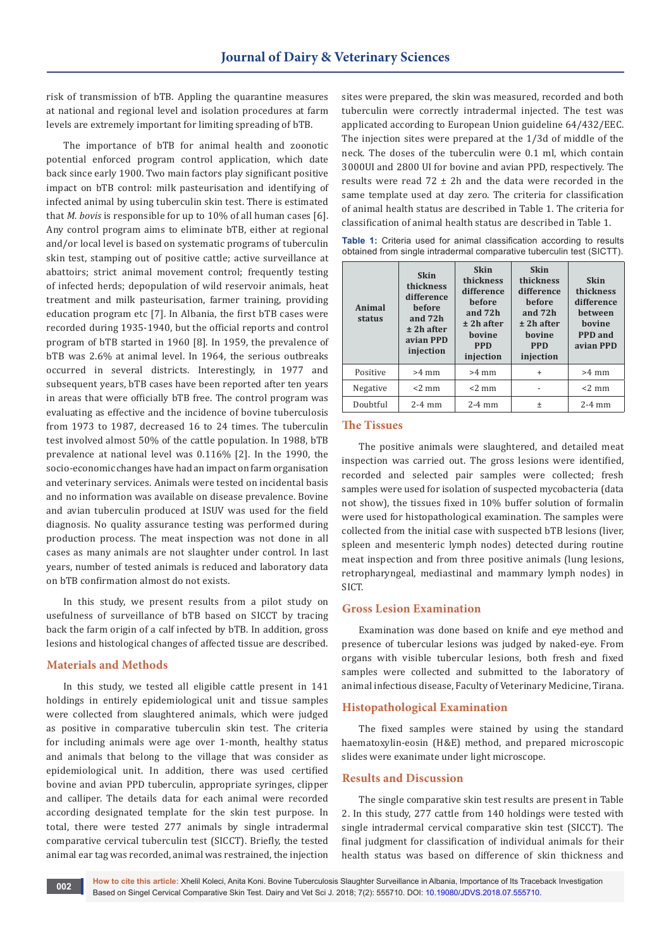risk of transmission of bTB. Appling the quarantine measures at national and regional level and isolation procedures at farm levels are extremely important for limiting spreading of bTB.

The importance of bTB for animal health and zoonotic potential enforced program control application, which date back since early 1900. Two main factors play significant positive impact on bTB control: milk pasteurisation and identifying of infected animal by using tuberculin skin test. There is estimated that *M. bovis* is responsible for up to 10% of all human cases [6]. Any control program aims to eliminate bTB, either at regional and/or local level is based on systematic programs of tuberculin skin test, stamping out of positive cattle; active surveillance at abattoirs; strict animal movement control; frequently testing of infected herds; depopulation of wild reservoir animals, heat treatment and milk pasteurisation, farmer training, providing education program etc [7]. In Albania, the first bTB cases were recorded during 1935-1940, but the official reports and control program of bTB started in 1960 [8]. In 1959, the prevalence of bTB was 2.6% at animal level. In 1964, the serious outbreaks occurred in several districts. Interestingly, in 1977 and subsequent years, bTB cases have been reported after ten years in areas that were officially bTB free. The control program was evaluating as effective and the incidence of bovine tuberculosis from 1973 to 1987, decreased 16 to 24 times. The tuberculin test involved almost 50% of the cattle population. In 1988, bTB prevalence at national level was 0.116% [2]. In the 1990, the socio-economic changes have had an impact on farm organisation and veterinary services. Animals were tested on incidental basis and no information was available on disease prevalence. Bovine and avian tuberculin produced at ISUV was used for the field diagnosis. No quality assurance testing was performed during production process. The meat inspection was not done in all cases as many animals are not slaughter under control. In last years, number of tested animals is reduced and laboratory data on bTB confirmation almost do not exists.

In this study, we present results from a pilot study on usefulness of surveillance of bTB based on SICCT by tracing back the farm origin of a calf infected by bTB. In addition, gross lesions and histological changes of affected tissue are described.

## **Materials and Methods**

In this study, we tested all eligible cattle present in 141 holdings in entirely epidemiological unit and tissue samples were collected from slaughtered animals, which were judged as positive in comparative tuberculin skin test. The criteria for including animals were age over 1-month, healthy status and animals that belong to the village that was consider as epidemiological unit. In addition, there was used certified bovine and avian PPD tuberculin, appropriate syringes, clipper and calliper. The details data for each animal were recorded according designated template for the skin test purpose. In total, there were tested 277 animals by single intradermal comparative cervical tuberculin test (SICCT). Briefly, the tested animal ear tag was recorded, animal was restrained, the injection

sites were prepared, the skin was measured, recorded and both tuberculin were correctly intradermal injected. The test was applicated according to European Union guideline 64/432/EEC. The injection sites were prepared at the 1/3d of middle of the neck. The doses of the tuberculin were 0.1 ml, which contain 3000UI and 2800 UI for bovine and avian PPD, respectively. The results were read  $72 \pm 2h$  and the data were recorded in the same template used at day zero. The criteria for classification of animal health status are described in Table 1. The criteria for classification of animal health status are described in Table 1.

|  |  |  | Table 1: Criteria used for animal classification according to results |  |  |
|--|--|--|-----------------------------------------------------------------------|--|--|
|  |  |  | obtained from single intradermal comparative tuberculin test (SICTT). |  |  |

| Animal<br>status | <b>Skin</b><br>thickness<br>difference<br><b>before</b><br>and 72h<br>$±$ 2h after<br>avian PPD<br>injection | <b>Skin</b><br>thickness<br>difference<br>hefore<br>and 72h<br>$±$ 2h after<br>bovine<br><b>PPD</b><br>injection | <b>Skin</b><br>thickness<br>difference<br><b>before</b><br>and 72h<br>$±$ 2h after<br>hovine<br><b>PPD</b><br>injection | <b>Skin</b><br>thickness<br>difference<br>hetween<br>hovine<br>PPD and<br>avian PPD |  |
|------------------|--------------------------------------------------------------------------------------------------------------|------------------------------------------------------------------------------------------------------------------|-------------------------------------------------------------------------------------------------------------------------|-------------------------------------------------------------------------------------|--|
| Positive         | $>4$ mm                                                                                                      | $>4$ mm                                                                                                          | $\ddot{}$                                                                                                               | $>4$ mm                                                                             |  |
| Negative         | $<$ 2 mm                                                                                                     | $<$ 2 mm                                                                                                         | -                                                                                                                       | $<$ 2 mm                                                                            |  |
| Doubtful         | $2-4$ mm                                                                                                     | $2-4$ mm                                                                                                         | 土                                                                                                                       | $2-4$ mm                                                                            |  |

### **The Tissues**

The positive animals were slaughtered, and detailed meat inspection was carried out. The gross lesions were identified, recorded and selected pair samples were collected; fresh samples were used for isolation of suspected mycobacteria (data not show), the tissues fixed in 10% buffer solution of formalin were used for histopathological examination. The samples were collected from the initial case with suspected bTB lesions (liver, spleen and mesenteric lymph nodes) detected during routine meat inspection and from three positive animals (lung lesions, retropharyngeal, mediastinal and mammary lymph nodes) in SICT.

## **Gross Lesion Examination**

Examination was done based on knife and eye method and presence of tubercular lesions was judged by naked-eye. From organs with visible tubercular lesions, both fresh and fixed samples were collected and submitted to the laboratory of animal infectious disease, Faculty of Veterinary Medicine, Tirana.

### **Histopathological Examination**

The fixed samples were stained by using the standard haematoxylin-eosin (H&E) method, and prepared microscopic slides were exanimate under light microscope.

#### **Results and Discussion**

The single comparative skin test results are present in Table 2. In this study, 277 cattle from 140 holdings were tested with single intradermal cervical comparative skin test (SICCT). The final judgment for classification of individual animals for their health status was based on difference of skin thickness and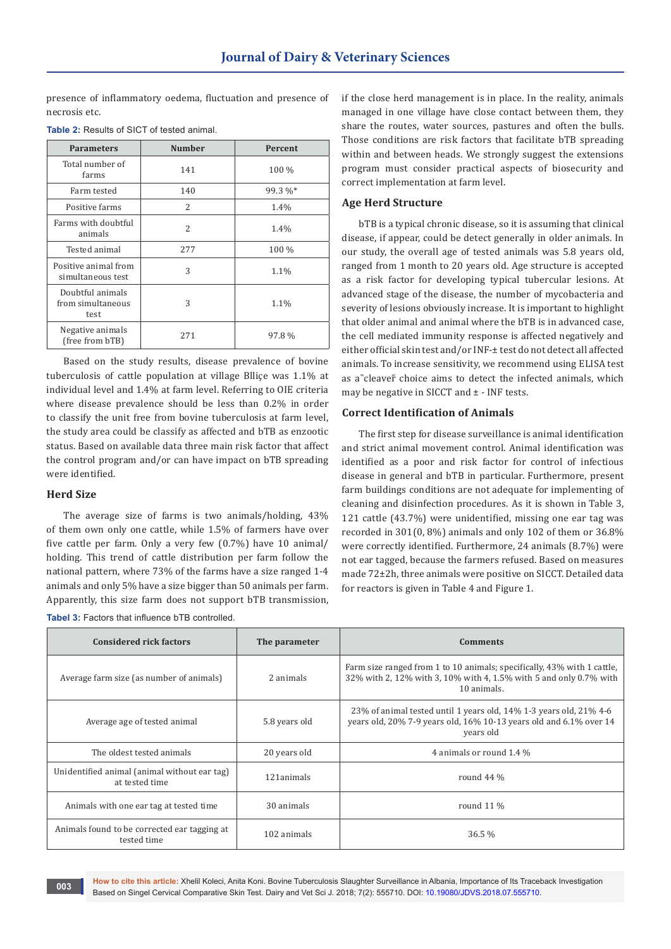presence of inflammatory oedema, fluctuation and presence of necrosis etc.

| <b>Parameters</b>                             | <b>Number</b> | Percent |
|-----------------------------------------------|---------------|---------|
| Total number of<br>farms                      | 141           | 100 %   |
| Farm tested                                   | 140           | 99.3 %* |
| Positive farms                                | 2             | 1.4%    |
| Farms with doubtful<br>animals                | $\mathcal{L}$ | 1.4%    |
| Tested animal                                 | 277           | 100 %   |
| Positive animal from<br>simultaneous test     | 3             | 1.1%    |
| Doubtful animals<br>from simultaneous<br>test | 3             | 1.1%    |
| Negative animals<br>(free from bTB)           | 271           | 97.8%   |

| <b>Table 2: Results of SICT of tested animal.</b> |  |  |  |  |  |  |  |
|---------------------------------------------------|--|--|--|--|--|--|--|
|---------------------------------------------------|--|--|--|--|--|--|--|

Based on the study results, disease prevalence of bovine tuberculosis of cattle population at village Blliçe was 1.1% at individual level and 1.4% at farm level. Referring to OIE criteria where disease prevalence should be less than 0.2% in order to classify the unit free from bovine tuberculosis at farm level, the study area could be classify as affected and bTB as enzootic status. Based on available data three main risk factor that affect the control program and/or can have impact on bTB spreading were identified.

### **Herd Size**

The average size of farms is two animals/holding, 43% of them own only one cattle, while 1.5% of farmers have over five cattle per farm. Only a very few (0.7%) have 10 animal/ holding. This trend of cattle distribution per farm follow the national pattern, where 73% of the farms have a size ranged 1-4 animals and only 5% have a size bigger than 50 animals per farm. Apparently, this size farm does not support bTB transmission,

| <b>Tabel 3: Factors that influence bTB controlled.</b> |
|--------------------------------------------------------|
|--------------------------------------------------------|

if the close herd management is in place. In the reality, animals managed in one village have close contact between them, they share the routes, water sources, pastures and often the bulls. Those conditions are risk factors that facilitate bTB spreading within and between heads. We strongly suggest the extensions program must consider practical aspects of biosecurity and correct implementation at farm level.

## **Age Herd Structure**

bTB is a typical chronic disease, so it is assuming that clinical disease, if appear, could be detect generally in older animals. In our study, the overall age of tested animals was 5.8 years old, ranged from 1 month to 20 years old. Age structure is accepted as a risk factor for developing typical tubercular lesions. At advanced stage of the disease, the number of mycobacteria and severity of lesions obviously increase. It is important to highlight that older animal and animal where the bTB is in advanced case, the cell mediated immunity response is affected negatively and either official skin test and/or INF-± test do not detect all affected animals. To increase sensitivity, we recommend using ELISA test as a cleaver choice aims to detect the infected animals, which may be negative in SICCT and  $\pm$  - INF tests.

## **Correct Identification of Animals**

The first step for disease surveillance is animal identification and strict animal movement control. Animal identification was identified as a poor and risk factor for control of infectious disease in general and bTB in particular. Furthermore, present farm buildings conditions are not adequate for implementing of cleaning and disinfection procedures. As it is shown in Table 3, 121 cattle (43.7%) were unidentified, missing one ear tag was recorded in 301(0, 8%) animals and only 102 of them or 36.8% were correctly identified. Furthermore, 24 animals (8.7%) were not ear tagged, because the farmers refused. Based on measures made 72±2h, three animals were positive on SICCT. Detailed data for reactors is given in Table 4 and Figure 1.

| <b>Considered rick factors</b>                                 | The parameter | <b>Comments</b>                                                                                                                                              |
|----------------------------------------------------------------|---------------|--------------------------------------------------------------------------------------------------------------------------------------------------------------|
| Average farm size (as number of animals)                       | 2 animals     | Farm size ranged from 1 to 10 animals; specifically, 43% with 1 cattle,<br>32% with 2, 12% with 3, 10% with 4, 1.5% with 5 and only 0.7% with<br>10 animals. |
| Average age of tested animal                                   | 5.8 years old | 23% of animal tested until 1 years old, 14% 1-3 years old, 21% 4-6<br>years old, 20% 7-9 years old, 16% 10-13 years old and 6.1% over 14<br>years old        |
| The oldest tested animals                                      | 20 years old  | 4 animals or round 1.4 %                                                                                                                                     |
| Unidentified animal (animal without ear tag)<br>at tested time | 121animals    | round $44\%$                                                                                                                                                 |
| Animals with one ear tag at tested time                        | 30 animals    | round $11\%$                                                                                                                                                 |
| Animals found to be corrected ear tagging at<br>tested time    | 102 animals   | 36.5%                                                                                                                                                        |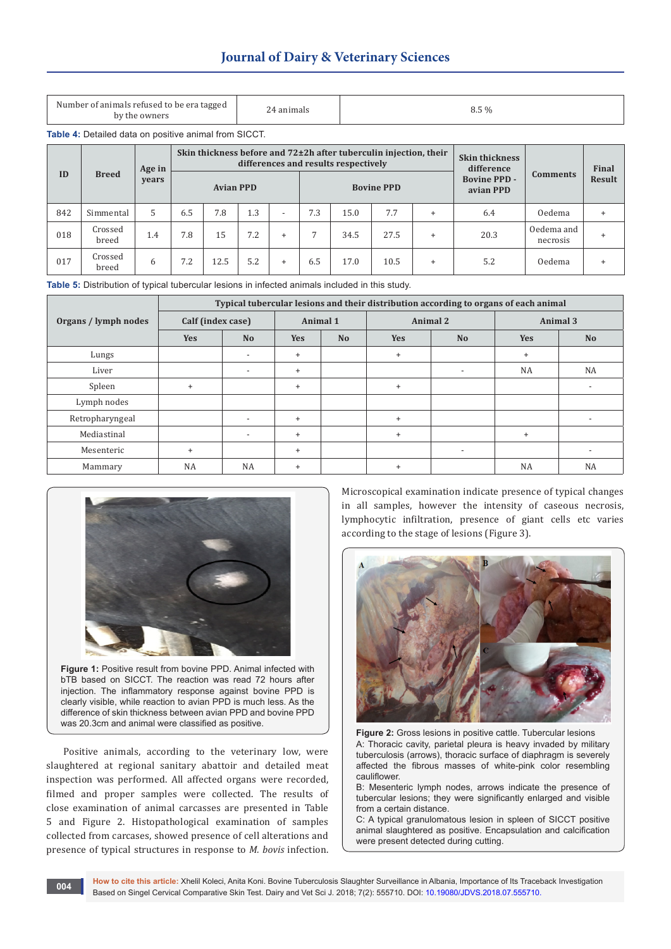|  |  |  | <b>Journal of Dairy &amp; Veterinary Sciences</b> |  |
|--|--|--|---------------------------------------------------|--|
|--|--|--|---------------------------------------------------|--|

| Number of animals refused to be era tagged<br>by the owners | animals | $8.5\%$ |
|-------------------------------------------------------------|---------|---------|
|-------------------------------------------------------------|---------|---------|

**Table 4:** Detailed data on positive animal from SICCT.

| ID  |                  | Age in |     | Skin thickness before and $72\pm2h$ after tuberculin injection, their<br>differences and results respectively |     |                          |     |      |                   |           |                                                |                        | <b>Final</b> |
|-----|------------------|--------|-----|---------------------------------------------------------------------------------------------------------------|-----|--------------------------|-----|------|-------------------|-----------|------------------------------------------------|------------------------|--------------|
|     | <b>Breed</b>     | vears  |     | <b>Avian PPD</b>                                                                                              |     |                          |     |      | <b>Bovine PPD</b> |           | difference<br><b>Bovine PPD -</b><br>avian PPD | <b>Comments</b>        | Result       |
| 842 | Simmental        | 5      | 6.5 | 7.8                                                                                                           | 1.3 | $\overline{\phantom{0}}$ | 7.3 | 15.0 | 7.7               |           | 6.4                                            | Oedema                 |              |
| 018 | Crossed<br>breed | 1.4    | 7.8 | 15                                                                                                            | 7.2 | $\ddot{}$                |     | 34.5 | 27.5              | $\ddot{}$ | 20.3                                           | Oedema and<br>necrosis |              |
| 017 | Crossed<br>breed | 6      | 7.2 | 12.5                                                                                                          | 5.2 | $\ddot{}$                | 6.5 | 17.0 | 10.5              | $\ddot{}$ | 5.2                                            | <b>Oedema</b>          |              |

**Table 5:** Distribution of typical tubercular lesions in infected animals included in this study.

|                      | Typical tubercular lesions and their distribution according to organs of each animal |                          |            |           |            |                          |            |                          |  |  |  |
|----------------------|--------------------------------------------------------------------------------------|--------------------------|------------|-----------|------------|--------------------------|------------|--------------------------|--|--|--|
| Organs / lymph nodes | Calf (index case)                                                                    | Animal 1                 |            |           | Animal 2   | Animal 3                 |            |                          |  |  |  |
|                      | <b>Yes</b>                                                                           | N <sub>o</sub>           | <b>Yes</b> | <b>No</b> | <b>Yes</b> | N <sub>o</sub>           | <b>Yes</b> | N <sub>o</sub>           |  |  |  |
| Lungs                |                                                                                      | $\overline{\phantom{0}}$ | $+$        |           | $\ddot{}$  |                          | $\ddot{}$  |                          |  |  |  |
| Liver                |                                                                                      |                          | $\ddot{}$  |           |            |                          | <b>NA</b>  | <b>NA</b>                |  |  |  |
| Spleen               | $\ddot{}$                                                                            |                          | $\ddot{}$  |           | $\ddot{}$  |                          |            | $\overline{\phantom{a}}$ |  |  |  |
| Lymph nodes          |                                                                                      |                          |            |           |            |                          |            |                          |  |  |  |
| Retropharyngeal      |                                                                                      |                          | $\ddot{}$  |           | $\ddot{}$  |                          |            | $\overline{\phantom{a}}$ |  |  |  |
| Mediastinal          |                                                                                      |                          | $\ddot{}$  |           | $\ddot{}$  |                          | $+$        |                          |  |  |  |
| Mesenteric           | $\ddot{}$                                                                            |                          | $\ddot{}$  |           |            | $\overline{\phantom{a}}$ |            |                          |  |  |  |
| Mammary              | NA                                                                                   | <b>NA</b>                | $\ddot{}$  |           | $\ddot{}$  |                          | <b>NA</b>  | <b>NA</b>                |  |  |  |



**Figure 1:** Positive result from bovine PPD. Animal infected with bTB based on SICCT. The reaction was read 72 hours after injection. The inflammatory response against bovine PPD is clearly visible, while reaction to avian PPD is much less. As the difference of skin thickness between avian PPD and bovine PPD was 20.3cm and animal were classified as positive.

Positive animals, according to the veterinary low, were slaughtered at regional sanitary abattoir and detailed meat inspection was performed. All affected organs were recorded, filmed and proper samples were collected. The results of close examination of animal carcasses are presented in Table 5 and Figure 2. Histopathological examination of samples collected from carcases, showed presence of cell alterations and presence of typical structures in response to *M. bovis* infection.

Microscopical examination indicate presence of typical changes in all samples, however the intensity of caseous necrosis, lymphocytic infiltration, presence of giant cells etc varies according to the stage of lesions (Figure 3).



**Figure 2:** Gross lesions in positive cattle. Tubercular lesions A: Thoracic cavity, parietal pleura is heavy invaded by military tuberculosis (arrows), thoracic surface of diaphragm is severely affected the fibrous masses of white-pink color resembling cauliflower.

B: Mesenteric lymph nodes, arrows indicate the presence of tubercular lesions; they were significantly enlarged and visible from a certain distance.

C: A typical granulomatous lesion in spleen of SICCT positive animal slaughtered as positive. Encapsulation and calcification were present detected during cutting.